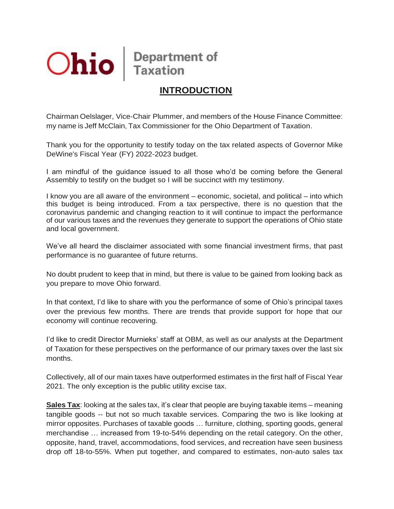

# **INTRODUCTION**

Chairman Oelslager, Vice-Chair Plummer, and members of the House Finance Committee: my name is Jeff McClain, Tax Commissioner for the Ohio Department of Taxation.

Thank you for the opportunity to testify today on the tax related aspects of Governor Mike DeWine's Fiscal Year (FY) 2022-2023 budget.

I am mindful of the guidance issued to all those who'd be coming before the General Assembly to testify on the budget so I will be succinct with my testimony.

I know you are all aware of the environment – economic, societal, and political – into which this budget is being introduced. From a tax perspective, there is no question that the coronavirus pandemic and changing reaction to it will continue to impact the performance of our various taxes and the revenues they generate to support the operations of Ohio state and local government.

We've all heard the disclaimer associated with some financial investment firms, that past performance is no guarantee of future returns.

No doubt prudent to keep that in mind, but there is value to be gained from looking back as you prepare to move Ohio forward.

In that context, I'd like to share with you the performance of some of Ohio's principal taxes over the previous few months. There are trends that provide support for hope that our economy will continue recovering.

I'd like to credit Director Murnieks' staff at OBM, as well as our analysts at the Department of Taxation for these perspectives on the performance of our primary taxes over the last six months.

Collectively, all of our main taxes have outperformed estimates in the first half of Fiscal Year 2021. The only exception is the public utility excise tax.

**Sales Tax**: looking at the sales tax, it's clear that people are buying taxable items – meaning tangible goods -- but not so much taxable services. Comparing the two is like looking at mirror opposites. Purchases of taxable goods … furniture, clothing, sporting goods, general merchandise … increased from 19-to-54% depending on the retail category. On the other, opposite, hand, travel, accommodations, food services, and recreation have seen business drop off 18-to-55%. When put together, and compared to estimates, non-auto sales tax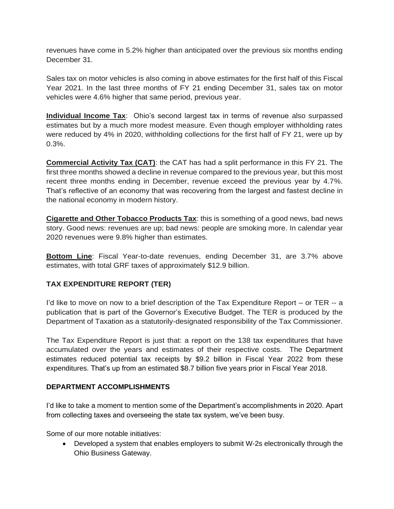revenues have come in 5.2% higher than anticipated over the previous six months ending December 31.

Sales tax on motor vehicles is also coming in above estimates for the first half of this Fiscal Year 2021. In the last three months of FY 21 ending December 31, sales tax on motor vehicles were 4.6% higher that same period, previous year.

**Individual Income Tax**: Ohio's second largest tax in terms of revenue also surpassed estimates but by a much more modest measure. Even though employer withholding rates were reduced by 4% in 2020, withholding collections for the first half of FY 21, were up by 0.3%.

**Commercial Activity Tax (CAT)**: the CAT has had a split performance in this FY 21. The first three months showed a decline in revenue compared to the previous year, but this most recent three months ending in December, revenue exceed the previous year by 4.7%. That's reflective of an economy that was recovering from the largest and fastest decline in the national economy in modern history.

**Cigarette and Other Tobacco Products Tax**: this is something of a good news, bad news story. Good news: revenues are up; bad news: people are smoking more. In calendar year 2020 revenues were 9.8% higher than estimates.

**Bottom Line**: Fiscal Year-to-date revenues, ending December 31, are 3.7% above estimates, with total GRF taxes of approximately \$12.9 billion.

## **TAX EXPENDITURE REPORT (TER)**

I'd like to move on now to a brief description of the Tax Expenditure Report – or TER -- a publication that is part of the Governor's Executive Budget. The TER is produced by the Department of Taxation as a statutorily-designated responsibility of the Tax Commissioner.

The Tax Expenditure Report is just that: a report on the 138 tax expenditures that have accumulated over the years and estimates of their respective costs. The Department estimates reduced potential tax receipts by \$9.2 billion in Fiscal Year 2022 from these expenditures. That's up from an estimated \$8.7 billion five years prior in Fiscal Year 2018.

## **DEPARTMENT ACCOMPLISHMENTS**

I'd like to take a moment to mention some of the Department's accomplishments in 2020. Apart from collecting taxes and overseeing the state tax system, we've been busy.

Some of our more notable initiatives:

• Developed a system that enables employers to submit W-2s electronically through the Ohio Business Gateway.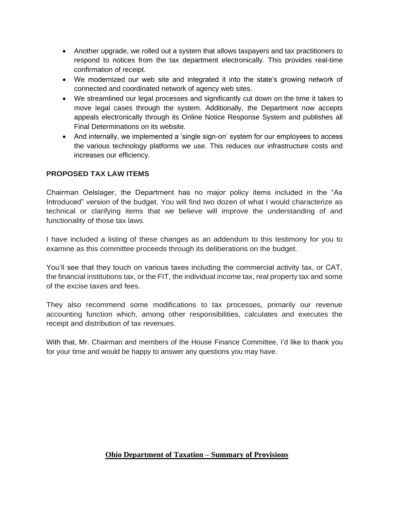- Another upgrade, we rolled out a system that allows taxpayers and tax practitioners to respond to notices from the tax department electronically. This provides real-time confirmation of receipt.
- We modernized our web site and integrated it into the state's growing network of connected and coordinated network of agency web sites.
- We streamlined our legal processes and significantly cut down on the time it takes to move legal cases through the system. Additionally, the Department now accepts appeals electronically through its Online Notice Response System and publishes all Final Determinations on its website.
- And internally, we implemented a 'single sign-on' system for our employees to access the various technology platforms we use. This reduces our infrastructure costs and increases our efficiency.

## **PROPOSED TAX LAW ITEMS**

Chairman Oelslager, the Department has no major policy items included in the "As Introduced" version of the budget. You will find two dozen of what I would characterize as technical or clarifying items that we believe will improve the understanding of and functionality of those tax laws.

I have included a listing of these changes as an addendum to this testimony for you to examine as this committee proceeds through its deliberations on the budget.

You'll see that they touch on various taxes including the commercial activity tax, or CAT, the financial institutions tax, or the FIT, the individual income tax, real property tax and some of the excise taxes and fees.

They also recommend some modifications to tax processes, primarily our revenue accounting function which, among other responsibilities, calculates and executes the receipt and distribution of tax revenues.

With that, Mr. Chairman and members of the House Finance Committee, I'd like to thank you for your time and would be happy to answer any questions you may have.

## **Ohio Department of Taxation – Summary of Provisions**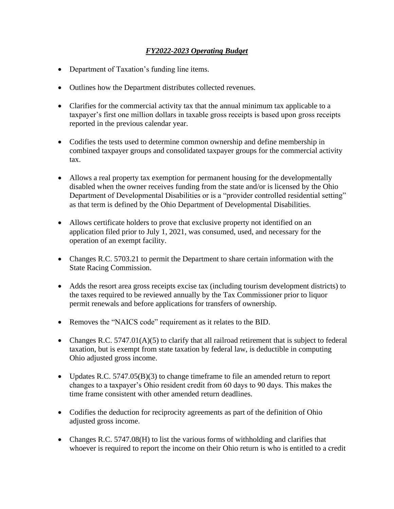## *FY2022-2023 Operating Budget*

- Department of Taxation's funding line items.
- Outlines how the Department distributes collected revenues.
- Clarifies for the commercial activity tax that the annual minimum tax applicable to a taxpayer's first one million dollars in taxable gross receipts is based upon gross receipts reported in the previous calendar year.
- Codifies the tests used to determine common ownership and define membership in combined taxpayer groups and consolidated taxpayer groups for the commercial activity tax.
- Allows a real property tax exemption for permanent housing for the developmentally disabled when the owner receives funding from the state and/or is licensed by the Ohio Department of Developmental Disabilities or is a "provider controlled residential setting" as that term is defined by the Ohio Department of Developmental Disabilities.
- Allows certificate holders to prove that exclusive property not identified on an application filed prior to July 1, 2021, was consumed, used, and necessary for the operation of an exempt facility.
- Changes R.C. 5703.21 to permit the Department to share certain information with the State Racing Commission.
- Adds the resort area gross receipts excise tax (including tourism development districts) to the taxes required to be reviewed annually by the Tax Commissioner prior to liquor permit renewals and before applications for transfers of ownership.
- Removes the "NAICS code" requirement as it relates to the BID.
- Changes R.C. 5747.01(A)(5) to clarify that all railroad retirement that is subject to federal taxation, but is exempt from state taxation by federal law, is deductible in computing Ohio adjusted gross income.
- Updates R.C. 5747.05(B)(3) to change time frame to file an amended return to report changes to a taxpayer's Ohio resident credit from 60 days to 90 days. This makes the time frame consistent with other amended return deadlines.
- Codifies the deduction for reciprocity agreements as part of the definition of Ohio adjusted gross income.
- Changes R.C. 5747.08(H) to list the various forms of withholding and clarifies that whoever is required to report the income on their Ohio return is who is entitled to a credit